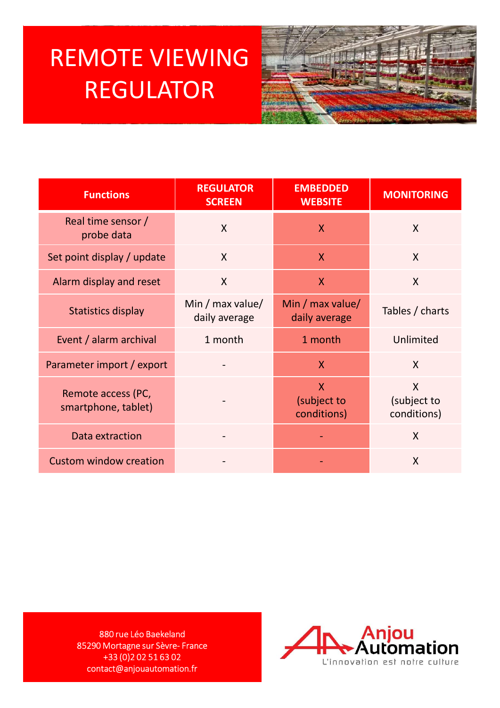## REMOTE VIEWING REGULATOR



| <b>REMOTE VIEWING</b><br><b>REGULATOR</b>                                                                                                                                    |                                   |                                                  |                                                  |
|------------------------------------------------------------------------------------------------------------------------------------------------------------------------------|-----------------------------------|--------------------------------------------------|--------------------------------------------------|
| <b>Functions</b>                                                                                                                                                             | <b>REGULATOR</b><br><b>SCREEN</b> | <b>EMBEDDED</b><br><b>WEBSITE</b>                | <b>MONITORING</b>                                |
| Real time sensor /<br>probe data                                                                                                                                             | $\mathsf{X}$                      | $\mathsf{X}$                                     | $\mathsf{X}$                                     |
| Set point display / update                                                                                                                                                   | $\mathsf{X}$                      | $\mathsf{X}$                                     | $\mathsf{X}$                                     |
| Alarm display and reset                                                                                                                                                      | $\mathsf{X}$                      | $\mathsf{X}$                                     | $\mathsf{X}$                                     |
| <b>Statistics display</b>                                                                                                                                                    | Min / max value/<br>daily average | Min / max value/<br>daily average                | Tables / charts                                  |
| Event / alarm archival                                                                                                                                                       | 1 month                           | 1 month                                          | Unlimited                                        |
| Parameter import / export                                                                                                                                                    |                                   | $\mathsf{X}$                                     | $\mathsf{X}$                                     |
| Remote access (PC,<br>smartphone, tablet)                                                                                                                                    |                                   | $\pmb{\mathsf{X}}$<br>(subject to<br>conditions) | $\pmb{\mathsf{X}}$<br>(subject to<br>conditions) |
| Data extraction                                                                                                                                                              |                                   |                                                  | $\mathsf{X}$                                     |
| <b>Custom window creation</b>                                                                                                                                                |                                   |                                                  | $\mathsf{X}$                                     |
|                                                                                                                                                                              |                                   |                                                  |                                                  |
| Anjou<br>Automation<br>880 rue Léo Baekeland<br>85290 Mortagne sur Sèvre-France<br>+33 (0) 2 0 2 5 1 6 3 0 2<br>L'innovation est notre culture<br>contact@anjouautomation.fr |                                   |                                                  |                                                  |

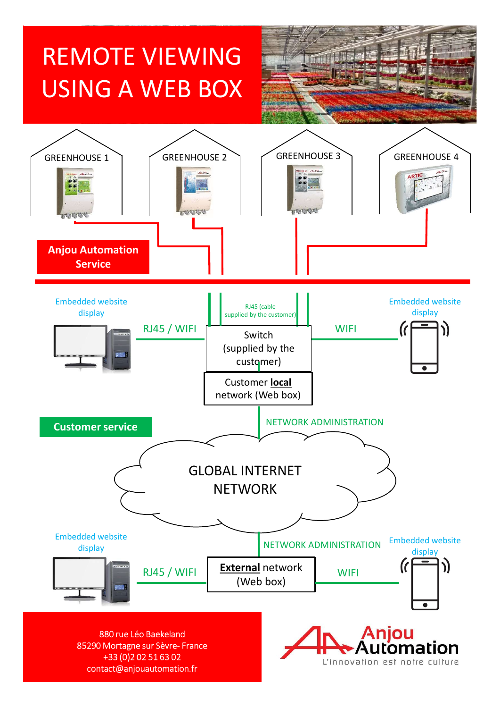## REMOTE VIEWING USING A WEB BOX